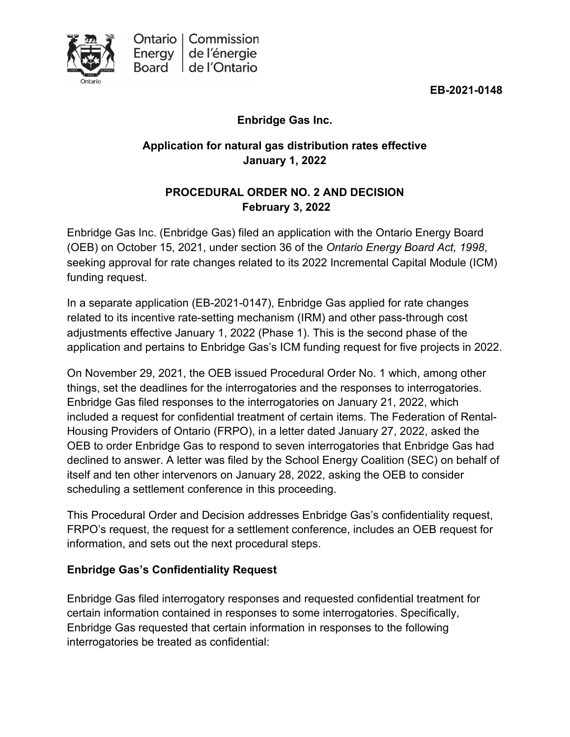**EB-2021-0148**

## **Enbridge Gas Inc.**

# **Application for natural gas distribution rates effective January 1, 2022**

## **PROCEDURAL ORDER NO. 2 AND DECISION February 3, 2022**

Enbridge Gas Inc. (Enbridge Gas) filed an application with the Ontario Energy Board (OEB) on October 15, 2021, under section 36 of the *Ontario Energy Board Act, 1998*, seeking approval for rate changes related to its 2022 Incremental Capital Module (ICM) funding request.

In a separate application (EB-2021-0147), Enbridge Gas applied for rate changes related to its incentive rate-setting mechanism (IRM) and other pass-through cost adjustments effective January 1, 2022 (Phase 1). This is the second phase of the application and pertains to Enbridge Gas's ICM funding request for five projects in 2022.

On November 29, 2021, the OEB issued Procedural Order No. 1 which, among other things, set the deadlines for the interrogatories and the responses to interrogatories. Enbridge Gas filed responses to the interrogatories on January 21, 2022, which included a request for confidential treatment of certain items. The Federation of Rental-Housing Providers of Ontario (FRPO), in a letter dated January 27, 2022, asked the OEB to order Enbridge Gas to respond to seven interrogatories that Enbridge Gas had declined to answer. A letter was filed by the School Energy Coalition (SEC) on behalf of itself and ten other intervenors on January 28, 2022, asking the OEB to consider scheduling a settlement conference in this proceeding.

This Procedural Order and Decision addresses Enbridge Gas's confidentiality request, FRPO's request, the request for a settlement conference, includes an OEB request for information, and sets out the next procedural steps.

## **Enbridge Gas's Confidentiality Request**

Enbridge Gas filed interrogatory responses and requested confidential treatment for certain information contained in responses to some interrogatories. Specifically, Enbridge Gas requested that certain information in responses to the following interrogatories be treated as confidential: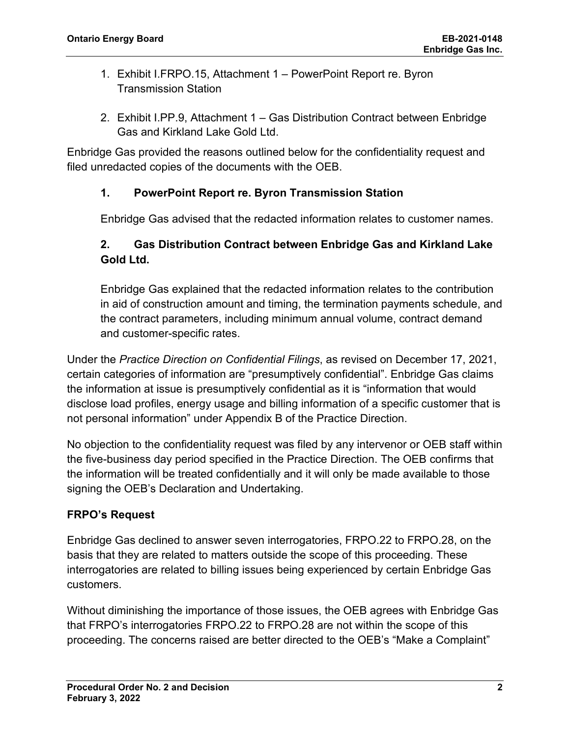- 1. Exhibit I.FRPO.15, Attachment 1 PowerPoint Report re. Byron Transmission Station
- 2. Exhibit I.PP.9, Attachment 1 Gas Distribution Contract between Enbridge Gas and Kirkland Lake Gold Ltd.

Enbridge Gas provided the reasons outlined below for the confidentiality request and filed unredacted copies of the documents with the OEB.

### **1. PowerPoint Report re. Byron Transmission Station**

Enbridge Gas advised that the redacted information relates to customer names.

## **2. Gas Distribution Contract between Enbridge Gas and Kirkland Lake Gold Ltd.**

Enbridge Gas explained that the redacted information relates to the contribution in aid of construction amount and timing, the termination payments schedule, and the contract parameters, including minimum annual volume, contract demand and customer-specific rates.

Under the *Practice Direction on Confidential Filings*, as revised on December 17, 2021, certain categories of information are "presumptively confidential". Enbridge Gas claims the information at issue is presumptively confidential as it is "information that would disclose load profiles, energy usage and billing information of a specific customer that is not personal information" under Appendix B of the Practice Direction.

No objection to the confidentiality request was filed by any intervenor or OEB staff within the five-business day period specified in the Practice Direction. The OEB confirms that the information will be treated confidentially and it will only be made available to those signing the OEB's Declaration and Undertaking.

### **FRPO's Request**

Enbridge Gas declined to answer seven interrogatories, FRPO.22 to FRPO.28, on the basis that they are related to matters outside the scope of this proceeding. These interrogatories are related to billing issues being experienced by certain Enbridge Gas customers.

Without diminishing the importance of those issues, the OEB agrees with Enbridge Gas that FRPO's interrogatories FRPO.22 to FRPO.28 are not within the scope of this proceeding. The concerns raised are better directed to the OEB's "Make a Complaint"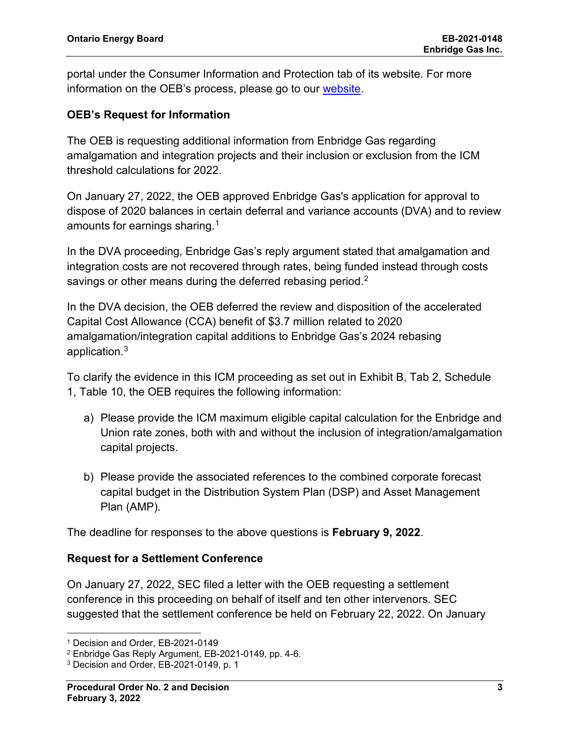portal under the Consumer Information and Protection tab of its website. For more information on the OEB's process, please go to our [website.](https://www.oeb.ca/consumer-information-and-protection/oebs-consumer-protection-role/complaint-statistics)

### **OEB's Request for Information**

The OEB is requesting additional information from Enbridge Gas regarding amalgamation and integration projects and their inclusion or exclusion from the ICM threshold calculations for 2022.

On January 27, 2022, the OEB approved Enbridge Gas's application for approval to dispose of 2020 balances in certain deferral and variance accounts (DVA) and to review amounts for earnings sharing. $^{\rm 1}$  $^{\rm 1}$  $^{\rm 1}$ 

In the DVA proceeding, Enbridge Gas's reply argument stated that amalgamation and integration costs are not recovered through rates, being funded instead through costs savings or other means during the deferred rebasing period.<sup>[2](#page-2-1)</sup>

In the DVA decision, the OEB deferred the review and disposition of the accelerated Capital Cost Allowance (CCA) benefit of \$3.7 million related to 2020 amalgamation/integration capital additions to Enbridge Gas's 2024 rebasing application.[3](#page-2-2)

To clarify the evidence in this ICM proceeding as set out in Exhibit B, Tab 2, Schedule 1, Table 10, the OEB requires the following information:

- a) Please provide the ICM maximum eligible capital calculation for the Enbridge and Union rate zones, both with and without the inclusion of integration/amalgamation capital projects.
- b) Please provide the associated references to the combined corporate forecast capital budget in the Distribution System Plan (DSP) and Asset Management Plan (AMP).

The deadline for responses to the above questions is **February 9, 2022**.

#### **Request for a Settlement Conference**

On January 27, 2022, SEC filed a letter with the OEB requesting a settlement conference in this proceeding on behalf of itself and ten other intervenors. SEC suggested that the settlement conference be held on February 22, 2022. On January

<span id="page-2-0"></span><sup>1</sup> Decision and Order, EB-2021-0149

<span id="page-2-1"></span><sup>2</sup> Enbridge Gas Reply Argument, EB-2021-0149, pp. 4-6.

<span id="page-2-2"></span><sup>3</sup> Decision and Order, EB-2021-0149, p. 1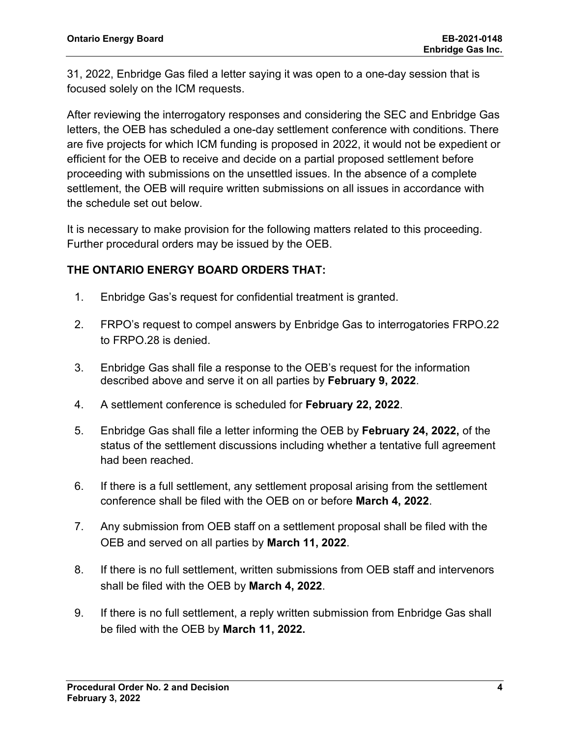31, 2022, Enbridge Gas filed a letter saying it was open to a one-day session that is focused solely on the ICM requests.

After reviewing the interrogatory responses and considering the SEC and Enbridge Gas letters, the OEB has scheduled a one-day settlement conference with conditions. There are five projects for which ICM funding is proposed in 2022, it would not be expedient or efficient for the OEB to receive and decide on a partial proposed settlement before proceeding with submissions on the unsettled issues. In the absence of a complete settlement, the OEB will require written submissions on all issues in accordance with the schedule set out below.

It is necessary to make provision for the following matters related to this proceeding. Further procedural orders may be issued by the OEB.

### **THE ONTARIO ENERGY BOARD ORDERS THAT:**

- 1. Enbridge Gas's request for confidential treatment is granted.
- 2. FRPO's request to compel answers by Enbridge Gas to interrogatories FRPO.22 to FRPO.28 is denied.
- 3. Enbridge Gas shall file a response to the OEB's request for the information described above and serve it on all parties by **February 9, 2022**.
- 4. A settlement conference is scheduled for **February 22, 2022**.
- 5. Enbridge Gas shall file a letter informing the OEB by **February 24, 2022,** of the status of the settlement discussions including whether a tentative full agreement had been reached.
- 6. If there is a full settlement, any settlement proposal arising from the settlement conference shall be filed with the OEB on or before **March 4, 2022**.
- 7. Any submission from OEB staff on a settlement proposal shall be filed with the OEB and served on all parties by **March 11, 2022**.
- 8. If there is no full settlement, written submissions from OEB staff and intervenors shall be filed with the OEB by **March 4, 2022**.
- 9. If there is no full settlement, a reply written submission from Enbridge Gas shall be filed with the OEB by **March 11, 2022.**